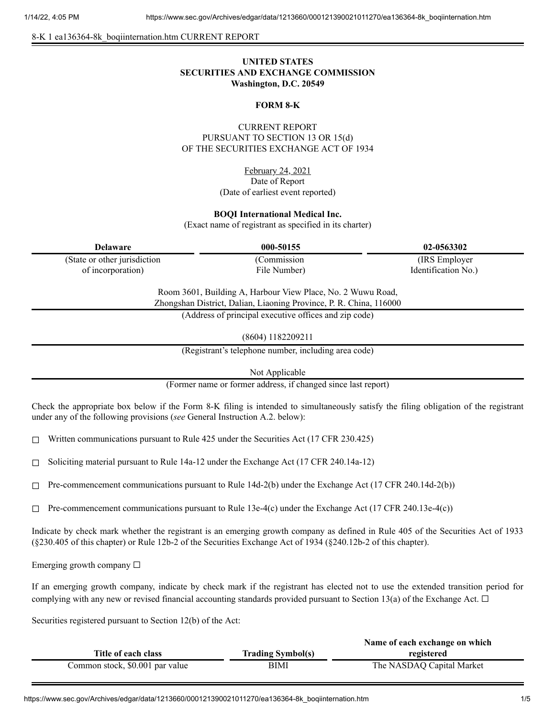8-K 1 ea136364-8k\_boqiinternation.htm CURRENT REPORT

# **UNITED STATES SECURITIES AND EXCHANGE COMMISSION Washington, D.C. 20549**

## **FORM 8-K**

## CURRENT REPORT PURSUANT TO SECTION 13 OR 15(d) OF THE SECURITIES EXCHANGE ACT OF 1934

February 24, 2021 Date of Report (Date of earliest event reported)

#### **BOQI International Medical Inc.**

(Exact name of registrant as specified in its charter)

| <b>Delaware</b>               | 000-50155    | 02-0563302          |
|-------------------------------|--------------|---------------------|
| (State or other jurisdiction) | (Commission) | (IRS Employer)      |
| of incorporation)             | File Number) | Identification No.) |
|                               |              |                     |

Room 3601, Building A, Harbour View Place, No. 2 Wuwu Road, Zhongshan District, Dalian, Liaoning Province, P. R. China, 116000

(Address of principal executive offices and zip code)

(8604) 1182209211

(Registrant's telephone number, including area code)

Not Applicable

(Former name or former address, if changed since last report)

Check the appropriate box below if the Form 8-K filing is intended to simultaneously satisfy the filing obligation of the registrant under any of the following provisions (*see* General Instruction A.2. below):

 $\Box$  Written communications pursuant to Rule 425 under the Securities Act (17 CFR 230.425)

☐ Soliciting material pursuant to Rule 14a-12 under the Exchange Act (17 CFR 240.14a-12)

 $\Box$  Pre-commencement communications pursuant to Rule 14d-2(b) under the Exchange Act (17 CFR 240.14d-2(b))

 $\Box$  Pre-commencement communications pursuant to Rule 13e-4(c) under the Exchange Act (17 CFR 240.13e-4(c))

Indicate by check mark whether the registrant is an emerging growth company as defined in Rule 405 of the Securities Act of 1933 (§230.405 of this chapter) or Rule 12b-2 of the Securities Exchange Act of 1934 (§240.12b-2 of this chapter).

Emerging growth company  $\Box$ 

If an emerging growth company, indicate by check mark if the registrant has elected not to use the extended transition period for complying with any new or revised financial accounting standards provided pursuant to Section 13(a) of the Exchange Act.  $\Box$ 

Securities registered pursuant to Section 12(b) of the Act:

|                                 |                          | Name of each exchange on which |
|---------------------------------|--------------------------|--------------------------------|
| Title of each class             | <b>Trading Symbol(s)</b> | registered                     |
| Common stock, \$0.001 par value | BIMI                     | The NASDAQ Capital Market      |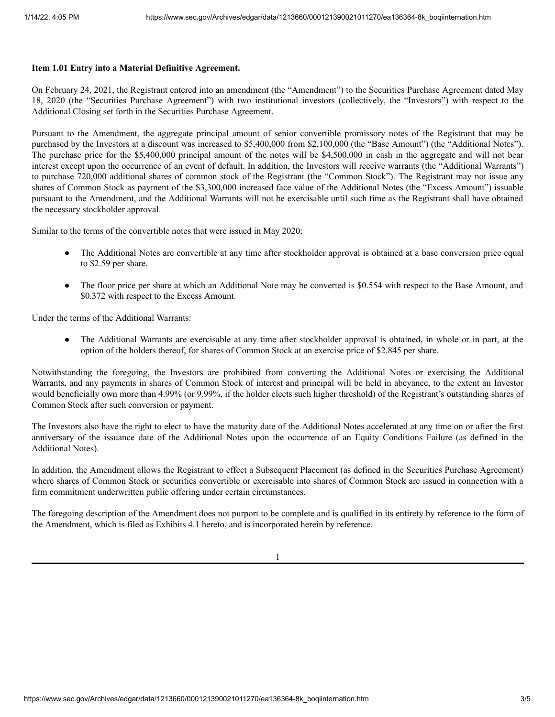### **Item 1.01 Entry into a Material Definitive Agreement.**

On February 24, 2021, the Registrant entered into an amendment (the "Amendment") to the Securities Purchase Agreement dated May 18, 2020 (the "Securities Purchase Agreement") with two institutional investors (collectively, the "Investors") with respect to the Additional Closing set forth in the Securities Purchase Agreement.

Pursuant to the Amendment, the aggregate principal amount of senior convertible promissory notes of the Registrant that may be purchased by the Investors at a discount was increased to \$5,400,000 from \$2,100,000 (the "Base Amount") (the "Additional Notes"). The purchase price for the \$5,400,000 principal amount of the notes will be \$4,500,000 in cash in the aggregate and will not bear interest except upon the occurrence of an event of default. In addition, the Investors will receive warrants (the "Additional Warrants") to purchase 720,000 additional shares of common stock of the Registrant (the "Common Stock"). The Registrant may not issue any shares of Common Stock as payment of the \$3,300,000 increased face value of the Additional Notes (the "Excess Amount") issuable pursuant to the Amendment, and the Additional Warrants will not be exercisable until such time as the Registrant shall have obtained the necessary stockholder approval.

Similar to the terms of the convertible notes that were issued in May 2020:

- The Additional Notes are convertible at any time after stockholder approval is obtained at a base conversion price equal to \$2.59 per share.
- The floor price per share at which an Additional Note may be converted is \$0.554 with respect to the Base Amount, and \$0.372 with respect to the Excess Amount.

Under the terms of the Additional Warrants:

The Additional Warrants are exercisable at any time after stockholder approval is obtained, in whole or in part, at the option of the holders thereof, for shares of Common Stock at an exercise price of \$2.845 per share.

Notwithstanding the foregoing, the Investors are prohibited from converting the Additional Notes or exercising the Additional Warrants, and any payments in shares of Common Stock of interest and principal will be held in abeyance, to the extent an Investor would beneficially own more than 4.99% (or 9.99%, if the holder elects such higher threshold) of the Registrant's outstanding shares of Common Stock after such conversion or payment.

The Investors also have the right to elect to have the maturity date of the Additional Notes accelerated at any time on or after the first anniversary of the issuance date of the Additional Notes upon the occurrence of an Equity Conditions Failure (as defined in the Additional Notes).

In addition, the Amendment allows the Registrant to effect a Subsequent Placement (as defined in the Securities Purchase Agreement) where shares of Common Stock or securities convertible or exercisable into shares of Common Stock are issued in connection with a firm commitment underwritten public offering under certain circumstances.

The foregoing description of the Amendment does not purport to be complete and is qualified in its entirety by reference to the form of the Amendment, which is filed as Exhibits 4.1 hereto, and is incorporated herein by reference.

1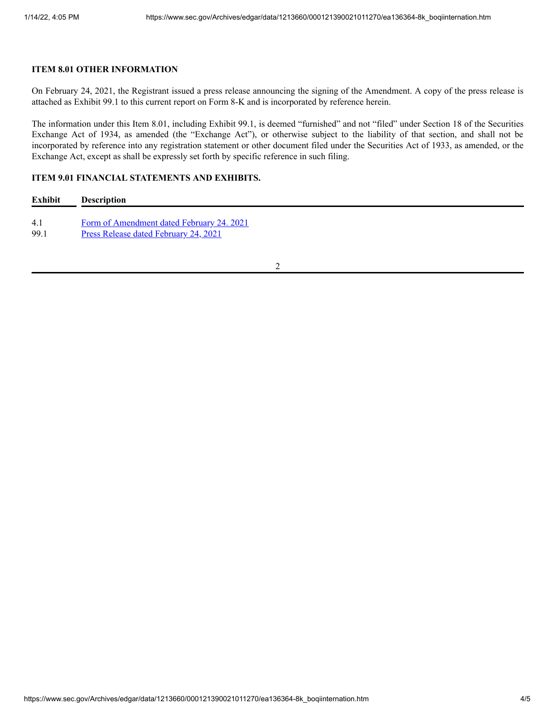## **ITEM 8.01 OTHER INFORMATION**

On February 24, 2021, the Registrant issued a press release announcing the signing of the Amendment. A copy of the press release is attached as Exhibit 99.1 to this current report on Form 8-K and is incorporated by reference herein.

The information under this Item 8.01, including Exhibit 99.1, is deemed "furnished" and not "filed" under Section 18 of the Securities Exchange Act of 1934, as amended (the "Exchange Act"), or otherwise subject to the liability of that section, and shall not be incorporated by reference into any registration statement or other document filed under the Securities Act of 1933, as amended, or the Exchange Act, except as shall be expressly set forth by specific reference in such filing.

## **ITEM 9.01 FINANCIAL STATEMENTS AND EXHIBITS.**

| Exhibit | <b>Description</b>                                                                  |  |  |
|---------|-------------------------------------------------------------------------------------|--|--|
|         |                                                                                     |  |  |
|         | $E_{\text{c},\text{max}} = \mathcal{L}$ A are not denoted that if $E_{\text{c}}$ be |  |  |

4.1 Form of [Amendment](https://www.sec.gov/Archives/edgar/data/1213660/000121390021011270/ea136364ex4-1_boqiinter.htm) dated February 24. 2021

99.1 Press Release dated [February](https://www.sec.gov/Archives/edgar/data/1213660/000121390021011270/ea136364ex99-1_boqiinter.htm) 24, 2021

2